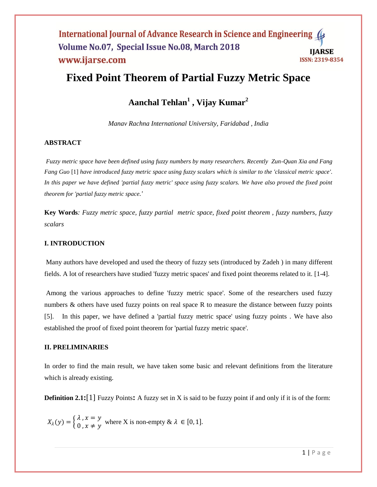# **Fixed Point Theorem of Partial Fuzzy Metric Space**

# **Aanchal Tehlan<sup>1</sup> , Vijay Kumar<sup>2</sup>**

*Manav Rachna International University, Faridabad , India*

# **ABSTRACT**

*Fuzzy metric space have been defined using fuzzy numbers by many researchers. Recently Zun-Quan Xia and Fang Fang Guo* [1] *have introduced fuzzy metric space using fuzzy scalars which is similar to the 'classical metric space'*. *In this paper we have defined 'partial fuzzy metric' space using fuzzy scalars. We have also proved the fixed point theorem for 'partial fuzzy metric space.'*

**Key Words***: Fuzzy metric space, fuzzy partial metric space, fixed point theorem , fuzzy numbers, fuzzy scalars*

# **I. INTRODUCTION**

Many authors have developed and used the theory of fuzzy sets (introduced by Zadeh ) in many different fields. A lot of researchers have studied 'fuzzy metric spaces' and fixed point theorems related to it. [1-4].

Among the various approaches to define 'fuzzy metric space'. Some of the researchers used fuzzy numbers & others have used fuzzy points on real space R to measure the distance between fuzzy points [5]. In this paper, we have defined a 'partial fuzzy metric space' using fuzzy points . We have also established the proof of fixed point theorem for 'partial fuzzy metric space'.

## **II. PRELIMINARIES**

In order to find the main result, we have taken some basic and relevant definitions from the literature which is already existing.

**Definition 2.1:**[1] Fuzzy Points**:** A fuzzy set in X is said to be fuzzy point if and only if it is of the form:

$$
X_{\lambda}(y) = \begin{cases} \lambda, x = y \\ 0, x \neq y \end{cases}
$$
 where X is non-empty  $\& \lambda \in [0, 1]$ .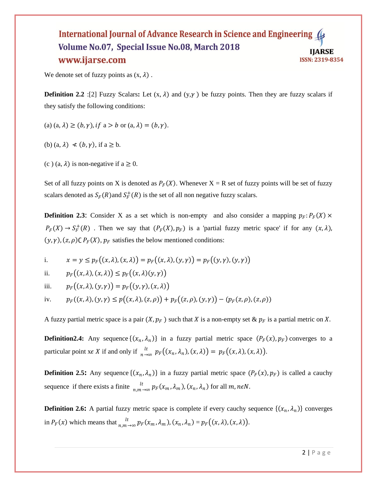We denote set of fuzzy points as  $(x, \lambda)$ .

**Definition 2.2** :[2] Fuzzy Scalars: Let  $(x, \lambda)$  and  $(y, \gamma)$  be fuzzy points. Then they are fuzzy scalars if they satisfy the following conditions:

- (a)  $(a, \lambda) \ge (b, \gamma)$ , if  $a > b$  or  $(a, \lambda) = (b, \gamma)$ .
- (b)  $(a, \lambda) \le (b, \gamma)$ , if  $a \ge b$ .
- (c) (a,  $\lambda$ ) is non-negative if a  $\geq$  0.

Set of all fuzzy points on X is denoted as  $P_F(X)$ . Whenever  $X = R$  set of fuzzy points will be set of fuzzy scalars denoted as  $S_F(R)$  and  $S_F^+(R)$  is the set of all non negative fuzzy scalars.

**Definition 2.3:** Consider X as a set which is non-empty and also consider a mapping  $p_F$ :  $P_F(X)$  ×  $P_F(X) \to S_F^+(R)$ . Then we say that  $(P_F(X), p_F)$  is a 'partial fuzzy metric space' if for any  $(x, \lambda)$ ,  $(y, \gamma)$ ,  $(z, \rho)$ C  $P_F(X)$ ,  $p_F$  satisfies the below mentioned conditions:

i. 
$$
x = y \le p_F((x, \lambda), (x, \lambda)) = p_F((x, \lambda), (y, \gamma)) = p_F((y, \gamma), (y, \gamma))
$$

ii. 
$$
p_F((x, \lambda), (x, \lambda)) \leq p_F((x, \lambda)(y, \gamma))
$$

iii. 
$$
p_F((x,\lambda),(y,\gamma)) = p_F((y,\gamma),(x,\lambda))
$$

iv.  $p_F((x, \lambda), (y, \gamma) \le p((x, \lambda), (z, \rho)) + p_F((z, \rho), (y, \gamma)) - (p_F(z, \rho), (z, \rho))$ 

A fuzzy partial metric space is a pair  $(X, p_F)$  such that X is a non-empty set &  $p_F$  is a partial metric on X.

**Definition2.4:** Any sequence  $\{(x_n, \lambda_n)\}\$ in a fuzzy partial metric space  $(P_F(x), p_F)$  converges to a particular point  $x \in X$  if and only if  $\lim_{n \to \infty} p_F((x_n, \lambda_n), (x, \lambda)) = p_F((x, \lambda), (x, \lambda)).$ 

**Definition 2.5:** Any sequence  $\{(x_n, \lambda_n)\}\$ in a fuzzy partial metric space  $(P_F(x), p_F)$  is called a cauchy sequence if there exists a finite  $\frac{dt}{n,m\to\infty} p_F(x_m,\lambda_m), (x_n,\lambda_n)$  for all  $m, n \in \mathbb{N}$ .

**Definition 2.6:** A partial fuzzy metric space is complete if every cauchy sequence  $\{(x_n, \lambda_n)\}$  converges in  $P_F(x)$  which means that  $\frac{dt}{n,m \to \infty} p_F(x_m, \lambda_m)$ ,  $(x_n, \lambda_n) = p_F((x, \lambda), (x, \lambda))$ .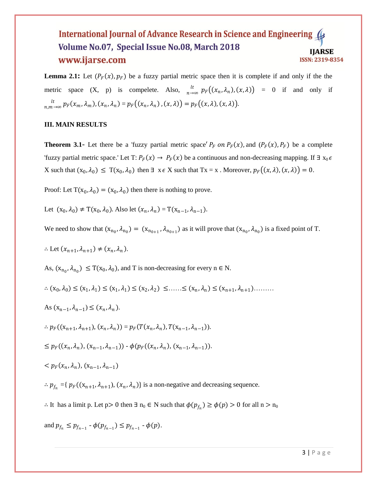**Lemma 2.1:** Let  $(P_F(x), p_F)$  be a fuzzy partial metric space then it is complete if and only if the the metric space  $(X, p)$  is compelete. Also,  $\int_{n\to\infty}^{lt} p_F((x_n, \lambda_n), (x, \lambda)) = 0$  if and only if  $lt$  $\sum_{n,m \to \infty}^{n} p_F(x_m, \lambda_m), (x_n, \lambda_n) = p_F((x_n, \lambda_n), (x, \lambda)) = p_F((x, \lambda), (x, \lambda)).$ 

### **III. MAIN RESULTS**

**Theorem 3.1-** Let there be a 'fuzzy partial metric space'  $P_F$  on  $P_F(x)$ , and  $(P_F(x), P_F)$  be a complete 'fuzzy partial metric space.' Let T:  $P_F(x) \to P_F(x)$  be a continuous and non-decreasing mapping. If  $\exists x_0 \in$ X such that  $(x_0, \lambda_0) \leq T(x_0, \lambda_0)$  then  $\exists x \in X$  such that  $Tx = x$ . Moreover,  $p_F((x, \lambda), (x, \lambda)) = 0$ .

Proof: Let T( $x_0, \lambda_0$ ) = ( $x_0, \lambda_0$ ) then there is nothing to prove.

Let  $(x_0, \lambda_0) \neq T(x_0, \lambda_0)$ . Also let  $(x_n, \lambda_n) = T(x_{n-1}, \lambda_{n-1})$ .

We need to show that  $(x_{n_0}, \lambda_{n_0}) = (x_{n_0+1}, \lambda_{n_0+1})$  as it will prove that  $(x_{n_0}, \lambda_{n_0})$  is a fixed point of T.

$$
\therefore \text{ Let } (x_{n+1}, \lambda_{n+1}) \neq (x_n, \lambda_n).
$$

As,  $(x_{n_0}, \lambda_{n_0}) \leq T(x_0, \lambda_0)$ , and T is non-decreasing for every  $n \in N$ .

∴  $(x_0, \lambda_0)$   $\leq$   $(x_1, \lambda_1)$   $\leq$   $(x_1, \lambda_1)$   $\leq$   $(x_2, \lambda_2)$   $\leq$  ......  $\leq$   $(x_n, \lambda_n)$   $\leq$   $(x_{n+1}, \lambda_{n+1})$ ........

As 
$$
(x_{n-1}, \lambda_{n-1}) \leq (x_n, \lambda_n)
$$
.

$$
\therefore p_F((x_{n+1}, \lambda_{n+1}), (x_n, \lambda_n)) = p_F(T(x_n, \lambda_n), T(x_{n-1}, \lambda_{n-1})).
$$

$$
\leq p_F((x_n, \lambda_n), (x_{n-1}, \lambda_{n-1})) - \phi(p_F((x_n, \lambda_n), (x_{n-1}, \lambda_{n-1})).
$$

$$
\langle p_F(x_n,\lambda_n), (x_{n-1},\lambda_{n-1})
$$

 $\therefore p_{f_n} = \{ p_F((x_{n+1}, \lambda_{n+1}), (x_n, \lambda_n) \} \text{ is a non-negative and decreasing sequence.} \}$ 

∴ It has a limit p. Let p> 0 then  $\exists n_0 \in N$  such that  $\phi(p_{f_n}) \ge \phi(p) > 0$  for all  $n > n_0$ 

and 
$$
p_{f_n} \leq p_{f_{n-1}} \cdot \phi(p_{f_{n-1}}) \leq p_{f_{n-1}} \cdot \phi(p)
$$
.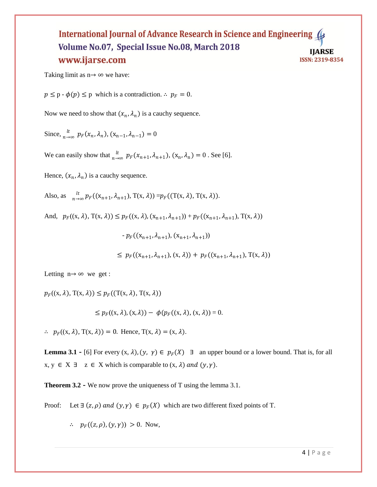Taking limit as  $n \rightarrow \infty$  we have:

 $p \leq p - \phi(p) \leq p$  which is a contradiction. ∴  $p_F = 0$ .

Now we need to show that  $(x_n, \lambda_n)$  is a cauchy sequence.

Since, 
$$
\lim_{n \to \infty} p_F(x_n, \lambda_n)
$$
,  $(x_{n-1}, \lambda_{n-1}) = 0$ 

We can easily show that  $\int_{n\to\infty}^{lt} p_F(x_{n+1}, \lambda_{n+1}), (x_n, \lambda_n) = 0$ . See [6].

Hence,  $(x_n, \lambda_n)$  is a cauchy sequence.

Also, as 
$$
{}_{n \to \infty}^{lt} p_F((x_{n+1}, \lambda_{n+1}), T(x, \lambda)) = p_F((T(x, \lambda), T(x, \lambda)).
$$

And,  $p_F((x, \lambda), T(x, \lambda)) \leq p_F((x, \lambda), (x_{n+1}, \lambda_{n+1})) + p_F((x_{n+1}, \lambda_{n+1}), T(x, \lambda))$ 

 $-p_F((x_{n+1}, \lambda_{n+1}), (x_{n+1}, \lambda_{n+1}))$ 

 $\leq p_F((x_{n+1}, \lambda_{n+1}), (x, \lambda)) + p_F((x_{n+1}, \lambda_{n+1}), T(x, \lambda))$ 

Letting  $n \rightarrow \infty$  we get :

 $p_F((x, \lambda), T(x, \lambda)) \leq p_F((T(x, \lambda), T(x, \lambda)))$ 

$$
\leq p_F((x,\lambda),(x,\lambda)) - \phi(p_F((x,\lambda),(x,\lambda)) = 0.
$$

 $\therefore$   $p_F((x, \lambda), T(x, \lambda)) = 0$ . Hence,  $T(x, \lambda) = (x, \lambda)$ .

**Lemma 3.1 -** [6] For every  $(x, \lambda)$ ,  $(y, \gamma) \in p_F(X)$  **E** an upper bound or a lower bound. That is, for all  $x, y \in X \exists z \in X$  which is comparable to  $(x, \lambda)$  and  $(y, \gamma)$ .

**Theorem 3.2 -** We now prove the uniqueness of T using the lemma 3.1.

Proof: Let ∃  $(z, \rho)$  and  $(y, \gamma)$  ∈  $p_F(X)$  which are two different fixed points of T.

 $\therefore p_F((z, \rho), (y, \gamma)) > 0$ . Now,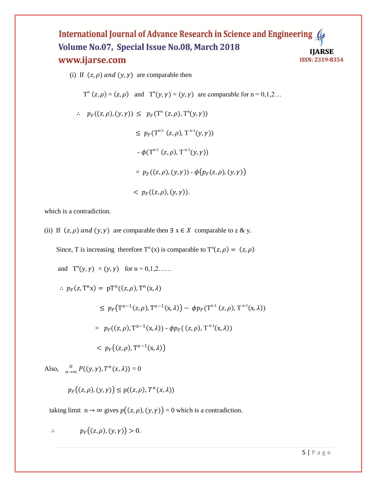(i) If  $(z, \rho)$  and  $(y, \gamma)$  are comparable then

$$
T^{n}(z,\rho) = (z,\rho)
$$
 and  $T^{n}(y,\gamma) = (y,\gamma)$  are comparable for  $n = 0,1,2...$ 

 $\therefore p_F((z, \rho), (y, \gamma)) \leq p_F(\mathbb{T}^n(z, \rho), \mathbb{T}^n(y, \gamma))$  $\leq p_F(T^{n-1}(z,\rho), T^{n-1}(y,\gamma))$  $-\phi(T^{n-1}(z,\rho), T^{n-1}(y,\gamma))$  $= p_F((z, \rho), (y, \gamma)) - \phi(p_F(z, \rho), (y, \gamma))$  $F_{F}((z, \rho), (y, \gamma)).$ 

which is a contradiction.

(ii) If  $(z, \rho)$  and  $(y, \gamma)$  are comparable then  $\exists x \in X$  comparable to z & y.

Since, T is increasing therefore  $T^n(x)$  is comparable to  $T^n(z, \rho) = (z, \rho)$ 

and 
$$
T^n(y, \gamma) = (y, \gamma)
$$
 for  $n = 0, 1, 2, \ldots$   
\n $\therefore p_F(z, T^n x) = p T^n((z, \rho), T^n(x, \lambda))$   
\n $\leq p_F(T^{n-1}(z, \rho), T^{n-1}(x, \lambda)) - \phi p_F(T^{n-1}(z, \rho), T^{n-1}(x, \lambda))$   
\n $= p_F((z, \rho), T^{n-1}(x, \lambda)) - \phi p_F((z, \rho), T^{n-1}(x, \lambda))$   
\n $< p_F((z, \rho), T^{n-1}(x, \lambda))$ 

Also,  $\int_{n\to\infty}^{lt} P((y, \gamma), T^n(x, \lambda)) = 0$ 

$$
p_F((z,\rho),(y,\gamma)) \leq p((z,\rho),T^n(x,\lambda))
$$

taking limit  $n \to \infty$  gives  $p((z, \rho), (y, \gamma)) = 0$  which is a contradiction.

$$
\therefore \hspace{1cm} p_F\big((z,\rho),(y,\gamma)\big) > 0.
$$